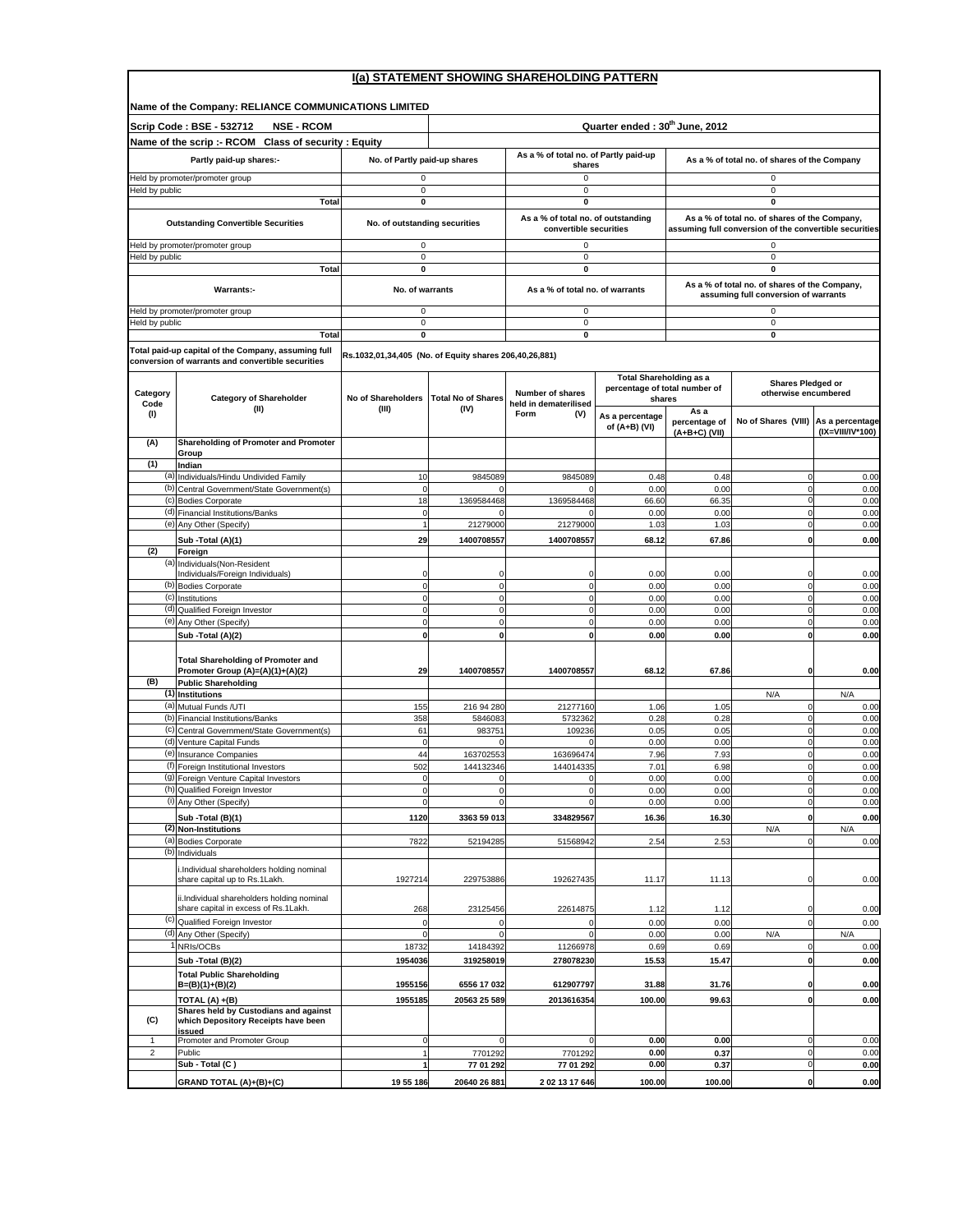## **I(a) STATEMENT SHOWING SHAREHOLDING PATTERN**

 $\Gamma$ 

|                  | Name of the Company: RELIANCE COMMUNICATIONS LIMITED                                                     |                                                        |                                            |                                                              |                                         |                                              |                                                                                                         |                                     |  |  |
|------------------|----------------------------------------------------------------------------------------------------------|--------------------------------------------------------|--------------------------------------------|--------------------------------------------------------------|-----------------------------------------|----------------------------------------------|---------------------------------------------------------------------------------------------------------|-------------------------------------|--|--|
|                  | Scrip Code: BSE - 532712<br><b>NSE - RCOM</b>                                                            |                                                        | Quarter ended: 30 <sup>th</sup> June, 2012 |                                                              |                                         |                                              |                                                                                                         |                                     |  |  |
|                  | Name of the scrip :- RCOM Class of security : Equity                                                     |                                                        |                                            |                                                              |                                         |                                              |                                                                                                         |                                     |  |  |
|                  | Partly paid-up shares:-                                                                                  | No. of Partly paid-up shares                           |                                            | As a % of total no. of Partly paid-up<br>shares              |                                         | As a % of total no. of shares of the Company |                                                                                                         |                                     |  |  |
| leld by public   | leld by promoter/promoter group                                                                          | 0<br>$\mathbf 0$                                       |                                            | 0<br>0                                                       |                                         |                                              | 0<br>$\pmb{0}$                                                                                          |                                     |  |  |
|                  | Total                                                                                                    | 0                                                      |                                            | 0                                                            |                                         |                                              | 0                                                                                                       |                                     |  |  |
|                  | <b>Outstanding Convertible Securities</b>                                                                | No. of outstanding securities                          |                                            | As a % of total no. of outstanding<br>convertible securities |                                         |                                              | As a % of total no. of shares of the Company,<br>assuming full conversion of the convertible securities |                                     |  |  |
|                  | leld by promoter/promoter group                                                                          | $\mathbf 0$                                            |                                            | 0                                                            |                                         |                                              | $\mathbf 0$                                                                                             |                                     |  |  |
| Held by public   | Total                                                                                                    | 0<br>0                                                 |                                            | 0<br>0                                                       |                                         |                                              | $\pmb{0}$<br>$\mathbf 0$                                                                                |                                     |  |  |
|                  | <b>Warrants:-</b>                                                                                        | No. of warrants                                        |                                            | As a % of total no. of warrants                              |                                         |                                              | As a % of total no. of shares of the Company,<br>assuming full conversion of warrants                   |                                     |  |  |
|                  | Held by promoter/promoter group                                                                          | 0                                                      |                                            | 0                                                            |                                         |                                              | 0                                                                                                       |                                     |  |  |
| leld by public   | Total                                                                                                    | $\mathbf 0$<br>0                                       |                                            | $\pmb{0}$<br>$\mathbf 0$                                     |                                         |                                              | $\mathbf 0$<br>$\mathbf 0$                                                                              |                                     |  |  |
|                  | Total paid-up capital of the Company, assuming full<br>conversion of warrants and convertible securities | Rs.1032,01,34,405 (No. of Equity shares 206,40,26,881) |                                            |                                                              |                                         |                                              |                                                                                                         |                                     |  |  |
|                  |                                                                                                          |                                                        |                                            |                                                              | <b>Total Shareholding as a</b>          |                                              |                                                                                                         |                                     |  |  |
| Category<br>Code | <b>Category of Shareholder</b>                                                                           | No of Shareholders                                     | <b>Total No of Shares</b>                  | <b>Number of shares</b><br>held in dematerilised             | percentage of total number of<br>shares |                                              | <b>Shares Pledged or</b><br>otherwise encumbered                                                        |                                     |  |  |
| (1)              | (II)                                                                                                     | (III)                                                  | (IV)                                       | Form<br>(V)                                                  | As a percentage<br>of $(A+B)$ (VI)      | As a<br>percentage of<br>$(A+B+C)$ (VII)     | No of Shares (VIII)                                                                                     | As a percentage<br>(IX=VIII/IV*100) |  |  |
| (A)              | Shareholding of Promoter and Promoter<br>Group                                                           |                                                        |                                            |                                                              |                                         |                                              |                                                                                                         |                                     |  |  |
| (1)              | Indian                                                                                                   |                                                        |                                            |                                                              |                                         |                                              |                                                                                                         |                                     |  |  |
|                  | (a) Individuals/Hindu Undivided Family                                                                   | 10                                                     | 9845089<br>$\Omega$                        | 9845089<br>$\Omega$                                          | 0.48                                    | 0.48                                         | $\mathbf 0$                                                                                             | 0.00                                |  |  |
|                  | (b) Central Government/State Government(s)<br>(c) Bodies Corporate                                       | $\mathbf 0$<br>18                                      | 1369584468                                 | 1369584468                                                   | 0.00<br>66.60                           | 0.00<br>66.35                                | $\mathbf 0$<br>$\mathbf 0$                                                                              | 0.00<br>0.00                        |  |  |
|                  | (d) Financial Institutions/Banks                                                                         | $\pmb{0}$                                              |                                            |                                                              | 0.00                                    | 0.00                                         | $\mathbf 0$                                                                                             | 0.00                                |  |  |
|                  | (e) Any Other (Specify)                                                                                  | $\overline{1}$                                         | 21279000                                   | 21279000                                                     | 1.03                                    | 1.03                                         | $\pmb{0}$                                                                                               | 0.00                                |  |  |
| (2)              | Sub - Total (A)(1)<br>Foreign                                                                            | 29                                                     | 1400708557                                 | 1400708557                                                   | 68.12                                   | 67.86                                        | $\mathbf{0}$                                                                                            | 0.00                                |  |  |
|                  | (a) Individuals (Non-Resident                                                                            |                                                        |                                            |                                                              |                                         |                                              |                                                                                                         |                                     |  |  |
|                  | Individuals/Foreign Individuals)<br>(b) Bodies Corporate                                                 | $\mathbf 0$                                            | 0                                          | 0<br>0                                                       | 0.00<br>0.00                            | 0.00<br>0.00                                 | $\Omega$<br>$\mathbf 0$                                                                                 | 0.00<br>0.00                        |  |  |
|                  | (c) Institutions                                                                                         | $\Omega$                                               | $\mathbf 0$                                | 0                                                            | 0.00                                    | 0.00                                         | $\mathbf 0$                                                                                             | 0.00                                |  |  |
|                  | (d) Qualified Foreign Investor                                                                           | $\mathbf 0$                                            | $\mathbf 0$                                | $\pmb{0}$<br>$\mathbf 0$                                     | 0.00                                    | 0.00                                         | $\mathbf 0$                                                                                             | 0.00                                |  |  |
|                  | (e) Any Other (Specify)<br>Sub - Total (A)(2)                                                            | $\mathbf 0$<br>O                                       | 0<br>$\mathbf 0$                           | ol                                                           | 0.00<br>0.00                            | 0.00<br>0.00                                 | $\mathbf 0$<br>$\mathbf 0$                                                                              | 0.00<br>0.00                        |  |  |
|                  | <b>Total Shareholding of Promoter and</b><br>Promoter Group (A)=(A)(1)+(A)(2)                            | 29                                                     | 1400708557                                 | 1400708557                                                   | 68.12                                   | 67.86                                        | $\mathbf 0$                                                                                             | 0.00                                |  |  |
| (B)              | <b>Public Shareholding</b>                                                                               |                                                        |                                            |                                                              |                                         |                                              |                                                                                                         |                                     |  |  |
|                  | (1) Institutions<br>(a) Mutual Funds / UTI                                                               | 155                                                    | 216 94 280                                 | 21277160                                                     | 1.06                                    | 1.05                                         | N/A<br>0                                                                                                | N/A<br>0.00                         |  |  |
|                  | (b) Financial Institutions/Banks                                                                         | 358                                                    | 5846083                                    | 5732362                                                      | 0.28                                    | 0.28                                         | $\mathbf 0$                                                                                             | 0.00                                |  |  |
|                  | (c) Central Government/State Government(s)                                                               | 61                                                     | 983751                                     | 109236                                                       | 0.05                                    | 0.05                                         | $\mathbf 0$                                                                                             | 0.00                                |  |  |
|                  | (d) Venture Capital Funds<br>(e) Insurance Companies                                                     | $\mathbf 0$<br>44                                      | 163702553                                  | 163696474                                                    | 0.00<br>7.96                            | 0.00<br>7.93                                 | $\mathbf 0$<br>$\overline{0}$                                                                           | 0.00<br>0.00                        |  |  |
|                  | (f) Foreign Institutional Investors                                                                      | 502                                                    | 144132346                                  | 144014335                                                    | 7.01                                    | 6.98                                         | $\mathbf 0$                                                                                             | 0.00                                |  |  |
|                  | (g) Foreign Venture Capital Investors<br>(n) Qualified Foreign Investor                                  | $\mathbf 0$<br>0                                       | $\pmb{0}$                                  | $\mathbf 0$<br>0                                             | 0.00<br>0.00                            | 0.00<br>0.00                                 | $\pmb{0}$<br>0                                                                                          | 0.00<br>0.00                        |  |  |
|                  | (i) Any Other (Specify)                                                                                  | $\mathbf 0$                                            | $\overline{0}$                             | $\overline{0}$                                               | 0.00                                    | 0.00                                         | $\mathbf 0$                                                                                             | 0.00                                |  |  |
|                  | Sub - Total (B)(1)                                                                                       | 1120                                                   | 3363 59 013                                | 334829567                                                    | 16.36                                   | 16.30                                        | $\mathbf 0$                                                                                             | 0.00                                |  |  |
|                  | (2) Non-Institutions<br>(a) Bodies Corporate                                                             | 7822                                                   | 52194285                                   | 51568942                                                     | 2.54                                    | 2.53                                         | N/A<br>$\pmb{0}$                                                                                        | N/A<br>0.00                         |  |  |
|                  | (b) Individuals                                                                                          |                                                        |                                            |                                                              |                                         |                                              |                                                                                                         |                                     |  |  |
|                  | Individual shareholders holding nominal<br>share capital up to Rs.1Lakh.                                 | 1927214                                                | 229753886                                  | 192627435                                                    | 11.17                                   | 11.13                                        | $\mathbf 0$                                                                                             | 0.00                                |  |  |
|                  | ii.Individual shareholders holding nominal<br>share capital in excess of Rs.1Lakh.                       | 268                                                    | 23125456                                   | 22614875                                                     | 1.12                                    | 1.12                                         | $\mathbf 0$                                                                                             | 0.00                                |  |  |
| (c)              | Qualified Foreign Investor                                                                               | $\mathbf 0$                                            | $\Omega$                                   | $^{\circ}$                                                   | 0.00                                    | 0.00                                         | $\overline{0}$                                                                                          | 0.00                                |  |  |
|                  | (d) Any Other (Specify)<br>NRIs/OCBs                                                                     | $\mathbf 0$<br>18732                                   | 0<br>14184392                              | 0<br>11266978                                                | 0.00<br>0.69                            | 0.00<br>0.69                                 | N/A<br>$\mathbf 0$                                                                                      | N/A<br>0.00                         |  |  |
|                  | Sub - Total (B)(2)                                                                                       | 1954036                                                | 319258019                                  | 278078230                                                    | 15.53                                   | 15.47                                        | $\mathbf 0$                                                                                             | 0.00                                |  |  |
|                  | <b>Total Public Shareholding</b><br>$B=(B)(1)+(B)(2)$                                                    | 1955156                                                | 6556 17 032                                | 612907797                                                    | 31.88                                   | 31.76                                        | 0                                                                                                       | 0.00                                |  |  |
|                  | TOTAL (A) +(B)                                                                                           | 1955185                                                | 20563 25 589                               | 2013616354                                                   | 100.00                                  | 99.63                                        | $\mathbf 0$                                                                                             | 0.00                                |  |  |
| (C)              | Shares held by Custodians and against<br>which Depository Receipts have been<br>issued                   |                                                        |                                            |                                                              |                                         |                                              |                                                                                                         |                                     |  |  |
| $\mathbf{1}$     | Promoter and Promoter Group                                                                              | 0                                                      |                                            |                                                              | 0.00                                    | 0.00                                         | $\mathbf 0$                                                                                             | 0.00                                |  |  |
| $\overline{2}$   | Public<br>Sub - Total (C)                                                                                | 1<br>1                                                 | 7701292<br>77 01 292                       | 7701292<br>77 01 292                                         | 0.00<br>0.00                            | 0.37<br>0.37                                 | $\mathbf 0$<br>0                                                                                        | 0.00<br>0.00                        |  |  |
|                  | GRAND TOTAL (A)+(B)+(C)                                                                                  | 19 55 186                                              | 20640 26 881                               | 2 02 13 17 646                                               | 100.00                                  | 100.00                                       | $\mathbf{0}$                                                                                            | 0.00                                |  |  |
|                  |                                                                                                          |                                                        |                                            |                                                              |                                         |                                              |                                                                                                         |                                     |  |  |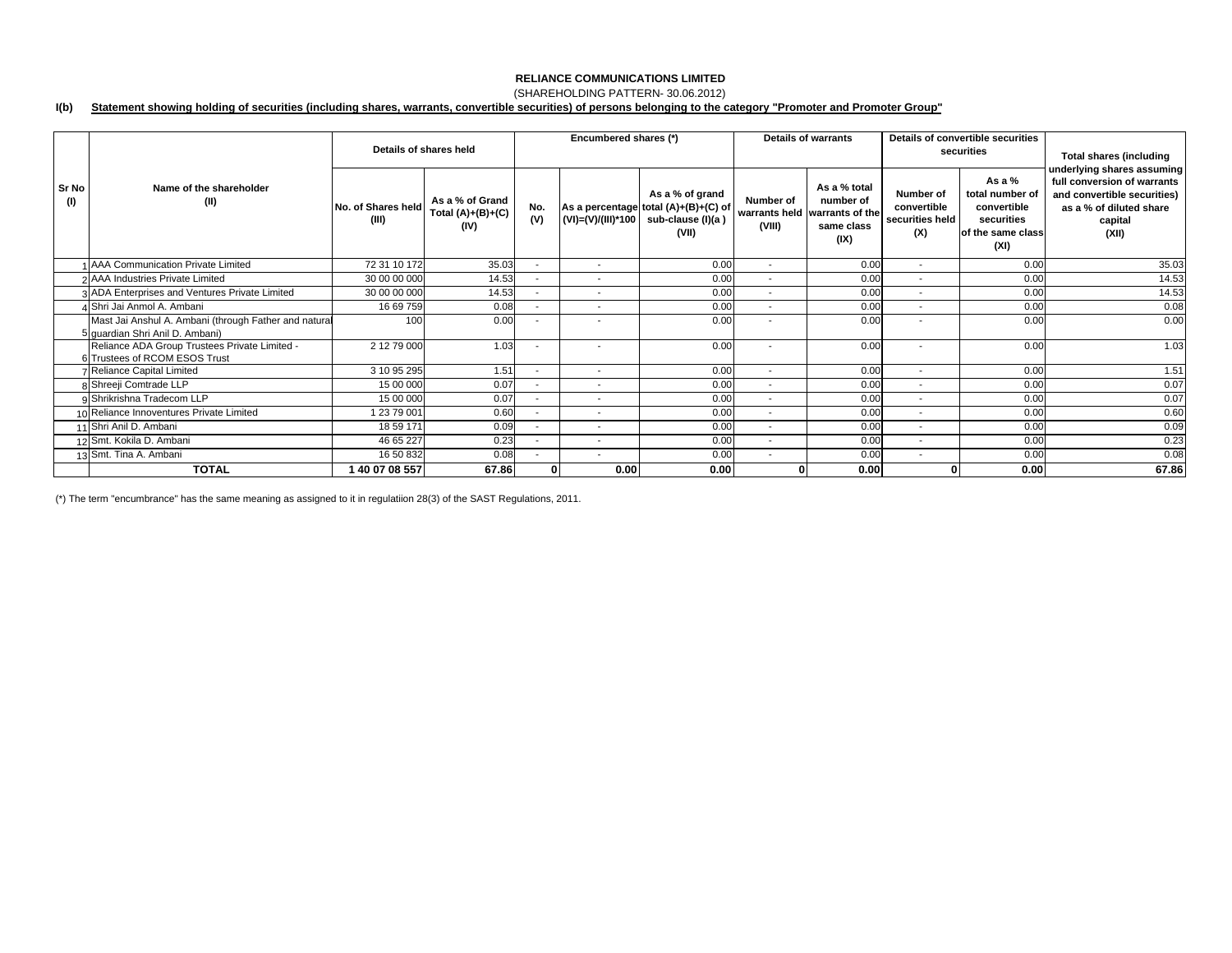## (SHAREHOLDING PATTERN- 30.06.2012)

#### **I(b) Statement showing holding of securities (including shares, warrants, convertible securities) of persons belonging to the category "Promoter and Promoter Group"**

|              |                                                                                          | Details of shares held      |                                                | Encumbered shares (*)    |                          |                                                                                       | <b>Details of warrants</b> |                                                                                  | Details of convertible securities<br>securities    |                                                                                       | <b>Total shares (including</b>                                                                                                          |
|--------------|------------------------------------------------------------------------------------------|-----------------------------|------------------------------------------------|--------------------------|--------------------------|---------------------------------------------------------------------------------------|----------------------------|----------------------------------------------------------------------------------|----------------------------------------------------|---------------------------------------------------------------------------------------|-----------------------------------------------------------------------------------------------------------------------------------------|
| Sr No<br>(1) | Name of the shareholder<br>(II)                                                          | No. of Shares held<br>(III) | As a % of Grand<br>Total $(A)+(B)+(C)$<br>(IV) | No.<br>(V)               | (VI)=(V)/(III)*100       | As a % of grand<br>As a percentage total (A)+(B)+(C) of<br>sub-clause (I)(a)<br>(VII) | Number of<br>(VIII)        | As a % total<br>number of<br>warrants held warrants of the<br>same class<br>(IX) | Number of<br>convertible<br>securities held<br>(X) | As a $%$<br>total number of<br>convertible<br>securities<br>of the same class<br>(XI) | underlying shares assuming<br>full conversion of warrants<br>and convertible securities)<br>as a % of diluted share<br>capital<br>(XII) |
|              | 1 AAA Communication Private Limited                                                      | 72 31 10 172                | 35.03                                          | $\overline{\phantom{a}}$ | $\sim$                   | 0.00                                                                                  | $\sim$                     | 0.00                                                                             | $\overline{\phantom{a}}$                           | 0.00                                                                                  | 35.03                                                                                                                                   |
|              | 2 AAA Industries Private Limited                                                         | 30 00 00 000                | 14.53                                          | $\overline{\phantom{a}}$ | $\sim$                   | 0.00                                                                                  | $\sim$                     | 0.00                                                                             | $\overline{\phantom{a}}$                           | 0.00                                                                                  | 14.53                                                                                                                                   |
|              | 3 ADA Enterprises and Ventures Private Limited                                           | 30 00 00 000                | 14.53                                          | $\overline{\phantom{a}}$ | $\overline{\phantom{a}}$ | 0.00                                                                                  | $\overline{\phantom{a}}$   | 0.00                                                                             | $\overline{\phantom{a}}$                           | 0.00                                                                                  | 14.53                                                                                                                                   |
|              | 4 Shri Jai Anmol A. Ambani                                                               | 16 69 759                   | 0.08                                           | $\blacksquare$           | $\overline{\phantom{a}}$ | 0.00                                                                                  | $\overline{\phantom{a}}$   | 0.00                                                                             | $\overline{\phantom{a}}$                           | 0.00                                                                                  | 0.08                                                                                                                                    |
|              | Mast Jai Anshul A. Ambani (through Father and natural<br>5 quardian Shri Anil D. Ambani) | 100                         | 0.00                                           |                          |                          | 0.00                                                                                  |                            | 0.00                                                                             | $\overline{\phantom{a}}$                           | 0.00                                                                                  | 0.00                                                                                                                                    |
|              | Reliance ADA Group Trustees Private Limited -<br>6 Trustees of RCOM ESOS Trust           | 2 12 79 000                 | 1.03                                           | $\overline{\phantom{a}}$ | $\overline{\phantom{a}}$ | 0.00                                                                                  | $\overline{\phantom{a}}$   | 0.00                                                                             | $\overline{\phantom{a}}$                           | 0.00                                                                                  | 1.03                                                                                                                                    |
|              | 7 Reliance Capital Limited                                                               | 3 10 95 295                 | 1.51                                           | $\overline{\phantom{a}}$ | $\sim$                   | 0.00                                                                                  | $\sim$                     | 0.00                                                                             | $\overline{\phantom{a}}$                           | 0.00                                                                                  | 1.51                                                                                                                                    |
|              | 8 Shreeji Comtrade LLP                                                                   | 15 00 000                   | 0.07                                           |                          | $\overline{\phantom{a}}$ | 0.00                                                                                  | $\sim$                     | 0.00                                                                             | $\overline{\phantom{a}}$                           | 0.00                                                                                  | 0.07                                                                                                                                    |
|              | 9 Shrikrishna Tradecom LLP                                                               | 15 00 000                   | 0.07                                           |                          |                          | 0.00                                                                                  | $\blacksquare$             | 0.00                                                                             | $\overline{\phantom{a}}$                           | 0.00                                                                                  | 0.07                                                                                                                                    |
|              | 10 Reliance Innoventures Private Limited                                                 | 23 79 001                   | 0.60                                           |                          |                          | 0.00                                                                                  | $\sim$                     | 0.00                                                                             | $\overline{\phantom{a}}$                           | 0.00                                                                                  | 0.60                                                                                                                                    |
|              | 11 Shri Anil D. Ambani                                                                   | 18 59 171                   | 0.09                                           | $\sim$                   |                          | 0.00                                                                                  | $\sim$                     | 0.00                                                                             | $\sim$                                             | 0.00                                                                                  | 0.09                                                                                                                                    |
|              | 12 Smt. Kokila D. Ambani                                                                 | 46 65 227                   | 0.23                                           | $\overline{\phantom{a}}$ | $\overline{\phantom{a}}$ | 0.00                                                                                  | $\sim$                     | 0.00                                                                             | $\overline{\phantom{a}}$                           | 0.00                                                                                  | 0.23                                                                                                                                    |
|              | 13 Smt. Tina A. Ambani                                                                   | 16 50 832                   | 0.08                                           | $\overline{\phantom{a}}$ | $\sim$                   | 0.00                                                                                  | $\sim$                     | 0.00                                                                             | $\sim$                                             | 0.00                                                                                  | 0.08                                                                                                                                    |
|              | <b>TOTAL</b>                                                                             | 1 40 07 08 557              | 67.86                                          | $\mathbf{0}$             | 0.00                     | 0.00                                                                                  |                            | 0.00                                                                             |                                                    | 0.00                                                                                  | 67.86                                                                                                                                   |

(\*) The term "encumbrance" has the same meaning as assigned to it in regulatiion 28(3) of the SAST Regulations, 2011.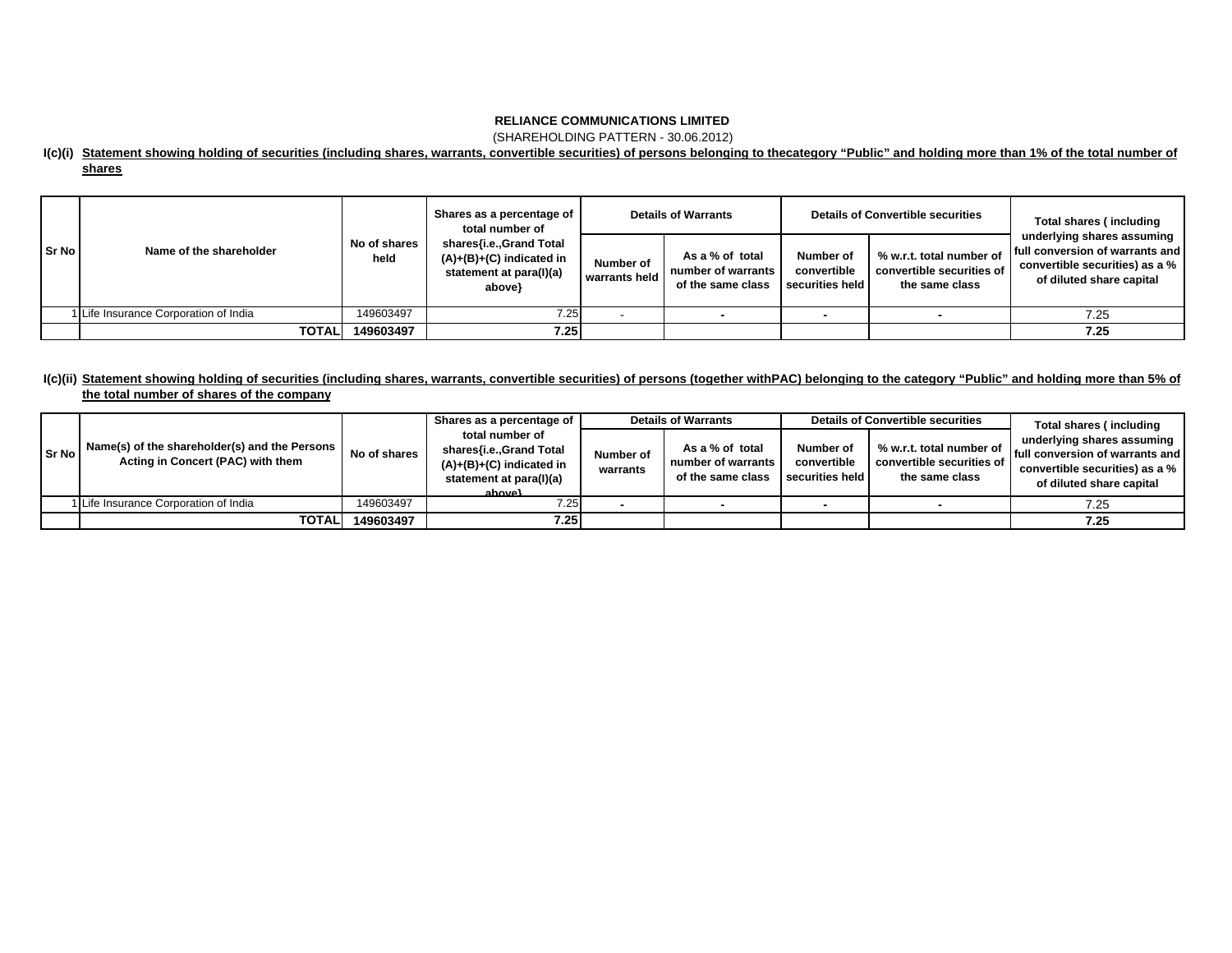(SHAREHOLDING PATTERN - 30.06.2012)

### **I(c)(i) Statement showing holding of securities (including shares, warrants, convertible securities) of persons belonging to thecategory "Public" and holding more than 1% of the total number of shares**

|          |                                       |                      | Shares as a percentage of<br><b>Details of Warrants</b><br>total number of                 |                            |                                                            | <b>Details of Convertible securities</b>    | Total shares (including                                                 |                                                                                                                             |
|----------|---------------------------------------|----------------------|--------------------------------------------------------------------------------------------|----------------------------|------------------------------------------------------------|---------------------------------------------|-------------------------------------------------------------------------|-----------------------------------------------------------------------------------------------------------------------------|
| l Sr Nol | Name of the shareholder               | No of shares<br>held | shares{i.e.,Grand Total<br>$(A)+(B)+(C)$ indicated in<br>statement at para(I)(a)<br>above} | Number of<br>warrants held | As a % of total<br>number of warrants<br>of the same class | Number of<br>convertible<br>securities held | % w.r.t. total number of<br>convertible securities of<br>the same class | underlying shares assuming<br>full conversion of warrants and<br>convertible securities) as a %<br>of diluted share capital |
|          | 1 Life Insurance Corporation of India | 149603497            | 7.25                                                                                       |                            |                                                            |                                             |                                                                         | 7.25                                                                                                                        |
|          | <b>TOTALI</b>                         | 149603497            | 7.25                                                                                       |                            |                                                            |                                             |                                                                         | 7.25                                                                                                                        |

## **I(c)(ii) Statement showing holding of securities (including shares, warrants, convertible securities) of persons (together withPAC) belonging to the category "Public" and holding more than 5% of the total number of shares of the company**

| Sr No | Name(s) of the shareholder(s) and the Persons<br>Acting in Concert (PAC) with them | No of shares | Shares as a percentage of<br>total number of<br>shares{i.e.,Grand Total<br>$(A)+(B)+(C)$ indicated in<br>statement at para(I)(a)<br>ahove} | Number of<br>warrants | <b>Details of Warrants</b><br>As a % of total<br>number of warrants<br>of the same class | Number of<br>convertible<br>securities held | <b>Details of Convertible securities</b><br>% w.r.t. total number of<br>convertible securities of<br>the same class | Total shares (including<br>underlying shares assuming  <br><b>Ifull conversion of warrants and I</b><br>convertible securities) as a %<br>of diluted share capital |
|-------|------------------------------------------------------------------------------------|--------------|--------------------------------------------------------------------------------------------------------------------------------------------|-----------------------|------------------------------------------------------------------------------------------|---------------------------------------------|---------------------------------------------------------------------------------------------------------------------|--------------------------------------------------------------------------------------------------------------------------------------------------------------------|
|       | 1 Life Insurance Corporation of India                                              | 149603497    | 7.25                                                                                                                                       |                       |                                                                                          |                                             |                                                                                                                     | 7.25                                                                                                                                                               |
|       | TOTALI                                                                             | 149603497    | 7.25                                                                                                                                       |                       |                                                                                          |                                             |                                                                                                                     | 7.25                                                                                                                                                               |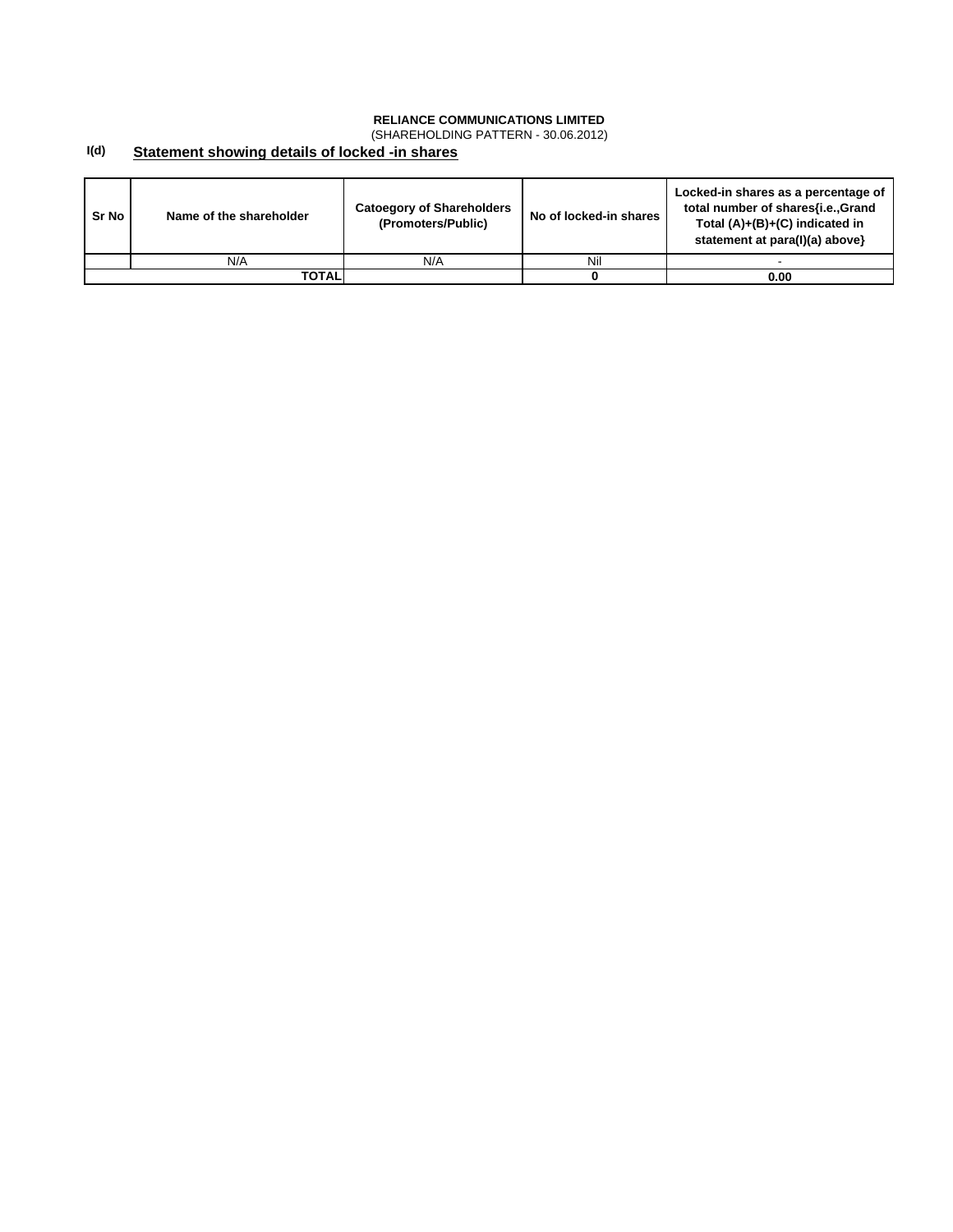(SHAREHOLDING PATTERN - 30.06.2012)

#### **I(d) Statement showing details of locked -in shares**

| Sr No | Name of the shareholder | <b>Catoegory of Shareholders</b><br>(Promoters/Public) | No of locked-in shares | Locked-in shares as a percentage of<br>total number of shares{i.e., Grand<br>Total $(A)+(B)+(C)$ indicated in<br>statement at para(I)(a) above} |
|-------|-------------------------|--------------------------------------------------------|------------------------|-------------------------------------------------------------------------------------------------------------------------------------------------|
|       | N/A                     | N/A                                                    | Nil                    |                                                                                                                                                 |
|       | TOTALI                  |                                                        |                        | 0.00                                                                                                                                            |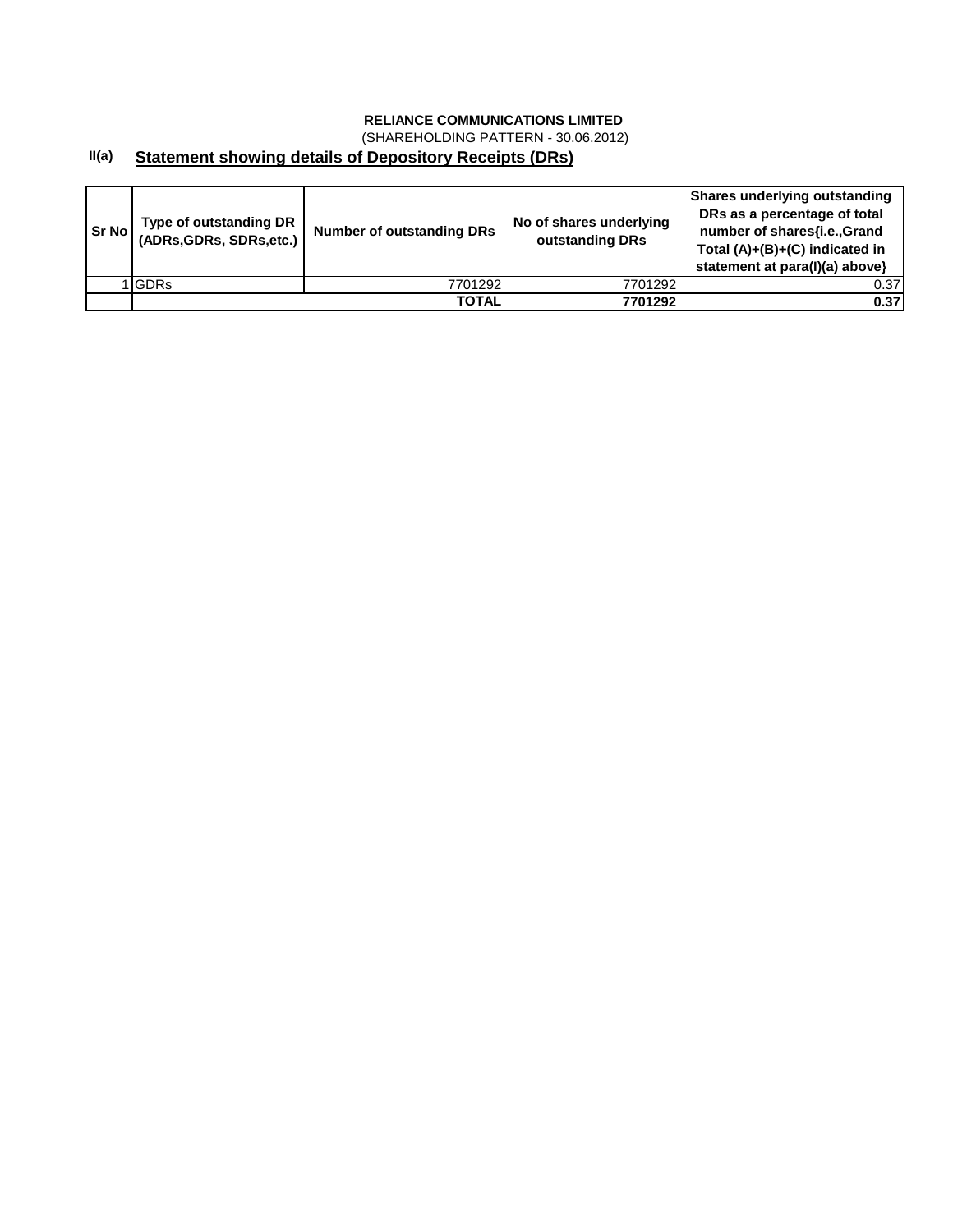(SHAREHOLDING PATTERN - 30.06.2012)

#### **II(a) Statement showing details of Depository Receipts (DRs)**

| Sr Nol | Type of outstanding DR<br>(ADRs, GDRs, SDRs, etc.) | <b>Number of outstanding DRs</b> | No of shares underlying<br>outstanding DRs | <b>Shares underlying outstanding</b><br>DRs as a percentage of total<br>number of shares{i.e., Grand<br>Total $(A)+(B)+(C)$ indicated in<br>statement at para(I)(a) above} |
|--------|----------------------------------------------------|----------------------------------|--------------------------------------------|----------------------------------------------------------------------------------------------------------------------------------------------------------------------------|
|        | <b>IGDRs</b>                                       | 7701292                          | 7701292                                    | 0.37                                                                                                                                                                       |
|        |                                                    | TOTAL                            | 7701292                                    | 0.37                                                                                                                                                                       |